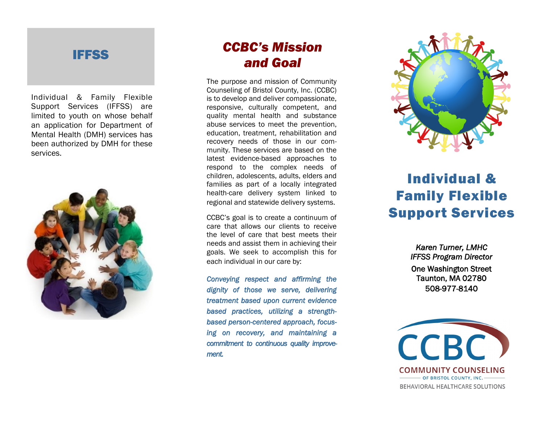#### IFFSS

Individual & Family Flexible Support Services (IFFSS) are limited to youth on whose behalf an application for Department of Mental Health (DMH) services has been authorized by DMH for these services.



#### *CCBC's Mission and Goal*

The purpose and mission of Community Counseling of Bristol County, Inc. (CCBC) is to develop and deliver compassionate, responsive, culturally competent, and quality mental health and substance abuse services to meet the prevention, education, treatment, rehabilitation and recovery needs of those in our com munity. These services are based on the latest evidence -based approaches to respond to the complex needs of children, adolescents, adults, elders and families as part of a locally integrated health -care delivery system linked to regional and statewide delivery systems.

CCBC's goal is to create a continuum of care that allows our clients to receive the level of care that best meets their needs and assist them in achieving their goals. We seek to accomplish this for each individual in our care by:

*Conveying respect and affirming the dignity of those we serve, delivering treatment based upon current evidence based practices, utilizing a strength based person -centered approach, focus ing on recovery, and maintaining a commitment to continuous quality improvement.* 



# Individual & Family Flexible Support Services

*Karen Turner, LMHC IFFSS Program Director*  One Washington Street Taunton, MA 02780 508 -977 -8140